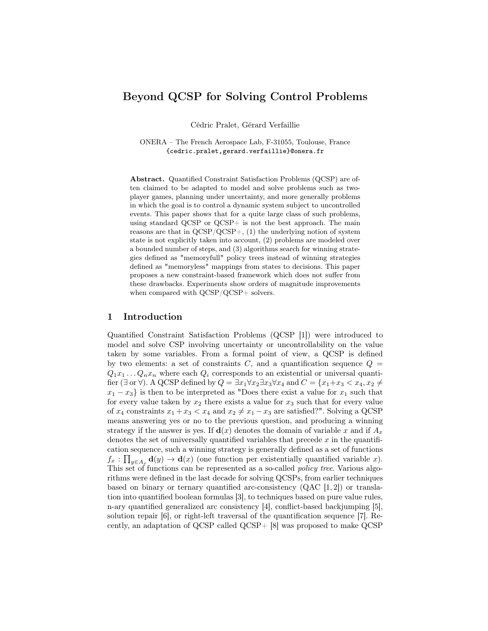# Beyond QCSP for Solving Control Problems

Cédric Pralet, Gérard Verfaillie

ONERA – The French Aerospace Lab, F-31055, Toulouse, France {cedric.pralet,gerard.verfaillie}@onera.fr

Abstract. Quantified Constraint Satisfaction Problems (QCSP) are often claimed to be adapted to model and solve problems such as twoplayer games, planning under uncertainty, and more generally problems in which the goal is to control a dynamic system subject to uncontrolled events. This paper shows that for a quite large class of such problems, using standard QCSP or QCSP+ is not the best approach. The main reasons are that in QCSP/QCSP+, (1) the underlying notion of system state is not explicitly taken into account, (2) problems are modeled over a bounded number of steps, and (3) algorithms search for winning strategies defined as "memoryfull" policy trees instead of winning strategies defined as "memoryless" mappings from states to decisions. This paper proposes a new constraint-based framework which does not suffer from these drawbacks. Experiments show orders of magnitude improvements when compared with QCSP/QCSP+ solvers.

### 1 Introduction

Quantified Constraint Satisfaction Problems (QCSP [1]) were introduced to model and solve CSP involving uncertainty or uncontrollability on the value taken by some variables. From a formal point of view, a QCSP is defined by two elements: a set of constraints C, and a quantification sequence  $Q =$  $Q_1x_1 \ldots Q_nx_n$  where each  $Q_i$  corresponds to an existential or universal quantifier (∃ or ∀). A QCSP defined by  $Q = \exists x_1 \forall x_2 \exists x_3 \forall x_4$  and  $C = \{x_1+x_3 \le x_4, x_2 \ne$  $x_1 - x_3$  is then to be interpreted as "Does there exist a value for  $x_1$  such that for every value taken by  $x_2$  there exists a value for  $x_3$  such that for every value of  $x_4$  constraints  $x_1 + x_3 < x_4$  and  $x_2 \neq x_1 - x_3$  are satisfied?". Solving a QCSP means answering yes or no to the previous question, and producing a winning strategy if the answer is yes. If  $\mathbf{d}(x)$  denotes the domain of variable x and if  $A_x$ denotes the set of universally quantified variables that precede  $x$  in the quantification sequence, such a winning strategy is generally defined as a set of functions  $f_x: \prod_{y \in A_x} \mathbf{d}(y) \to \mathbf{d}(x)$  (one function per existentially quantified variable x). This set of functions can be represented as a so-called policy tree. Various algorithms were defined in the last decade for solving QCSPs, from earlier techniques based on binary or ternary quantified arc-consistency  $(QAC [1, 2])$  or translation into quantified boolean formulas [3], to techniques based on pure value rules, n-ary quantified generalized arc consistency [4], conflict-based backjumping [5], solution repair [6], or right-left traversal of the quantification sequence [7]. Recently, an adaptation of QCSP called QCSP+ [8] was proposed to make QCSP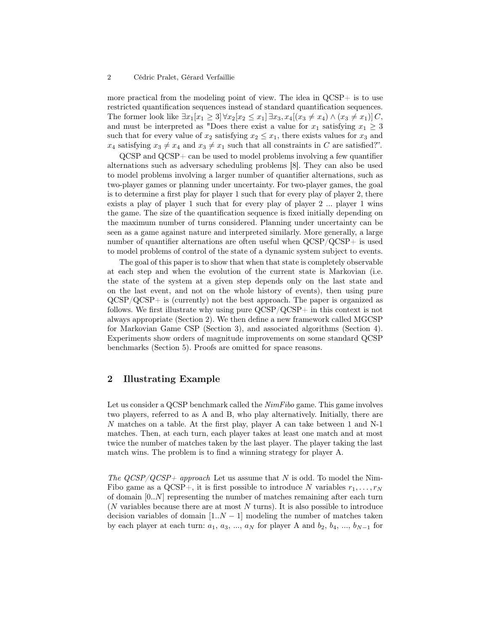more practical from the modeling point of view. The idea in QCSP+ is to use restricted quantification sequences instead of standard quantification sequences. The former look like  $\exists x_1[x_1 \geq 3] \forall x_2[x_2 \leq x_1] \exists x_3, x_4[(x_3 \neq x_4) \land (x_3 \neq x_1)]$ C, and must be interpreted as "Does there exist a value for  $x_1$  satisfying  $x_1 \geq 3$ such that for every value of  $x_2$  satisfying  $x_2 \leq x_1$ , there exists values for  $x_3$  and  $x_4$  satisfying  $x_3 \neq x_4$  and  $x_3 \neq x_1$  such that all constraints in C are satisfied?".

 $QCSP$  and  $QCSP$  + can be used to model problems involving a few quantifier alternations such as adversary scheduling problems [8]. They can also be used to model problems involving a larger number of quantifier alternations, such as two-player games or planning under uncertainty. For two-player games, the goal is to determine a first play for player 1 such that for every play of player 2, there exists a play of player 1 such that for every play of player 2 ... player 1 wins the game. The size of the quantification sequence is fixed initially depending on the maximum number of turns considered. Planning under uncertainty can be seen as a game against nature and interpreted similarly. More generally, a large number of quantifier alternations are often useful when QCSP/QCSP+ is used to model problems of control of the state of a dynamic system subject to events.

The goal of this paper is to show that when that state is completely observable at each step and when the evolution of the current state is Markovian (i.e. the state of the system at a given step depends only on the last state and on the last event, and not on the whole history of events), then using pure  $QCSP/QCSP+$  is (currently) not the best approach. The paper is organized as follows. We first illustrate why using pure QCSP/QCSP+ in this context is not always appropriate (Section 2). We then define a new framework called MGCSP for Markovian Game CSP (Section 3), and associated algorithms (Section 4). Experiments show orders of magnitude improvements on some standard QCSP benchmarks (Section 5). Proofs are omitted for space reasons.

# 2 Illustrating Example

Let us consider a QCSP benchmark called the  $NimFibo$  game. This game involves two players, referred to as A and B, who play alternatively. Initially, there are N matches on a table. At the first play, player A can take between 1 and N-1 matches. Then, at each turn, each player takes at least one match and at most twice the number of matches taken by the last player. The player taking the last match wins. The problem is to find a winning strategy for player A.

The  $QCSP/QCSP+$  approach Let us assume that N is odd. To model the Nim-Fibo game as a  $QCSP+$ , it is first possible to introduce N variables  $r_1, \ldots, r_N$ of domain  $[0..N]$  representing the number of matches remaining after each turn  $(N$  variables because there are at most N turns). It is also possible to introduce decision variables of domain  $[1..N-1]$  modeling the number of matches taken by each player at each turn:  $a_1, a_3, ..., a_N$  for player A and  $b_2, b_4, ..., b_{N-1}$  for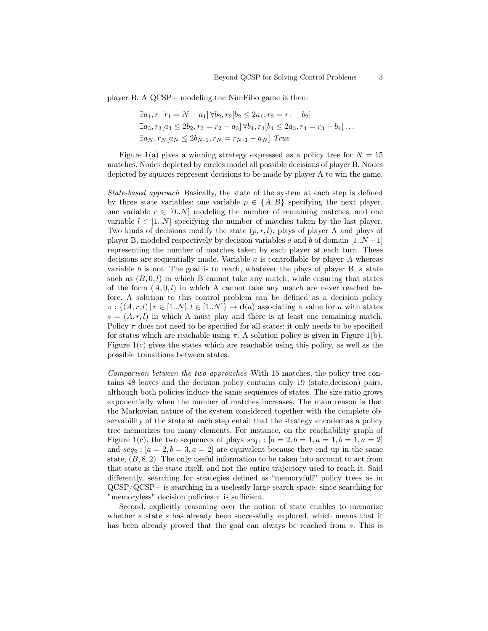player B. A  $QCSP+$  modeling the NimFibo game is then:

$$
\exists a_1, r_1[r_1 = N - a_1] \forall b_2, r_2[b_2 \le 2a_1, r_2 = r_1 - b_2]
$$
  

$$
\exists a_3, r_3[a_3 \le 2b_2, r_3 = r_2 - a_3] \forall b_4, r_4[b_4 \le 2a_3, r_4 = r_3 - b_4] \dots
$$
  

$$
\exists a_N, r_N[a_N \le 2b_{N-1}, r_N = r_{N-1} - a_N] \text{ True}
$$

Figure 1(a) gives a winning strategy expressed as a policy tree for  $N = 15$ matches. Nodes depicted by circles model all possible decisions of player B. Nodes depicted by squares represent decisions to be made by player A to win the game.

State-based approach Basically, the state of the system at each step is defined by three state variables: one variable  $p \in \{A, B\}$  specifying the next player, one variable  $r \in [0..N]$  modeling the number of remaining matches, and one variable  $l \in [1..N]$  specifying the number of matches taken by the last player. Two kinds of decisions modify the state  $(p, r, l)$ : plays of player A and plays of player B, modeled respectively by decision variables a and b of domain  $[1..N-1]$ representing the number of matches taken by each player at each turn. These decisions are sequentially made. Variable  $a$  is controllable by player  $A$  whereas variable  $b$  is not. The goal is to reach, whatever the plays of player B, a state such as  $(B, 0, l)$  in which B cannot take any match, while ensuring that states of the form  $(A, 0, l)$  in which A cannot take any match are never reached before. A solution to this control problem can be defined as a decision policy  $\pi: \{(A, r, l) | r \in [1..N], l \in [1..N]\} \rightarrow \mathbf{d}(a)$  associating a value for a with states  $s = (A, r, l)$  in which A must play and there is at least one remaining match. Policy  $\pi$  does not need to be specified for all states: it only needs to be specified for states which are reachable using  $\pi$ . A solution policy is given in Figure 1(b). Figure 1(c) gives the states which are reachable using this policy, as well as the possible transitions between states.

Comparison between the two approaches With 15 matches, the policy tree contains 48 leaves and the decision policy contains only 19 (state,decision) pairs, although both policies induce the same sequences of states. The size ratio grows exponentially when the number of matches increases. The main reason is that the Markovian nature of the system considered together with the complete observability of the state at each step entail that the strategy encoded as a policy tree memorizes too many elements. For instance, on the reachability graph of Figure 1(c), the two sequences of plays  $seq_1 : [a = 2, b = 1, a = 1, b = 1, a = 2]$ and  $seq_2$ :  $[a = 2, b = 3, a = 2]$  are equivalent because they end up in the same state,  $(B, 8, 2)$ . The only useful information to be taken into account to act from that state is the state itself, and not the entire trajectory used to reach it. Said differently, searching for strategies defined as "memoryfull" policy trees as in  $QCSP/QCSP+$  is searching in a uselessly large search space, since searching for "memoryless" decision policies  $\pi$  is sufficient.

Second, explicitly reasoning over the notion of state enables to memorize whether a state  $s$  has already been successfully explored, which means that it has been already proved that the goal can always be reached from s. This is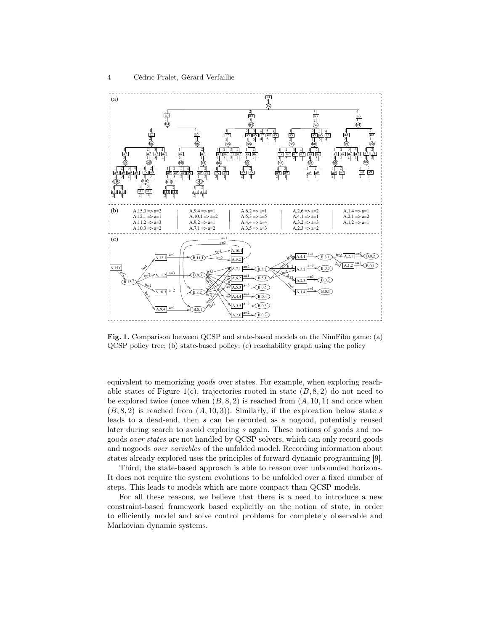

Fig. 1. Comparison between QCSP and state-based models on the NimFibo game: (a) QCSP policy tree; (b) state-based policy; (c) reachability graph using the policy

equivalent to memorizing goods over states. For example, when exploring reachable states of Figure 1(c), trajectories rooted in state  $(B, 8, 2)$  do not need to be explored twice (once when  $(B, 8, 2)$  is reached from  $(A, 10, 1)$  and once when  $(B, 8, 2)$  is reached from  $(A, 10, 3)$ . Similarly, if the exploration below state s leads to a dead-end, then s can be recorded as a nogood, potentially reused later during search to avoid exploring s again. These notions of goods and nogoods over states are not handled by QCSP solvers, which can only record goods and nogoods over variables of the unfolded model. Recording information about states already explored uses the principles of forward dynamic programming [9].

Third, the state-based approach is able to reason over unbounded horizons. It does not require the system evolutions to be unfolded over a fixed number of steps. This leads to models which are more compact than QCSP models.

For all these reasons, we believe that there is a need to introduce a new constraint-based framework based explicitly on the notion of state, in order to efficiently model and solve control problems for completely observable and Markovian dynamic systems.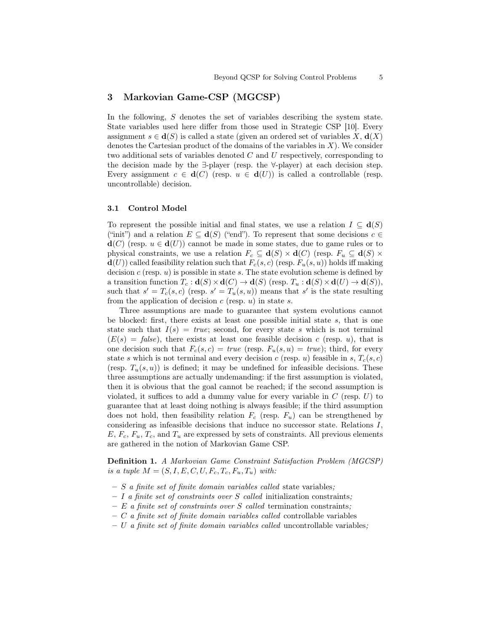## 3 Markovian Game-CSP (MGCSP)

In the following, S denotes the set of variables describing the system state. State variables used here differ from those used in Strategic CSP [10]. Every assignment  $s \in d(S)$  is called a state (given an ordered set of variables X,  $d(X)$ ) denotes the Cartesian product of the domains of the variables in  $X$ ). We consider two additional sets of variables denoted C and U respectively, corresponding to the decision made by the ∃-player (resp. the ∀-player) at each decision step. Every assignment  $c \in \mathbf{d}(C)$  (resp.  $u \in \mathbf{d}(U)$ ) is called a controllable (resp. uncontrollable) decision.

### 3.1 Control Model

To represent the possible initial and final states, we use a relation  $I \subseteq d(S)$ ("init") and a relation  $E \subseteq \mathbf{d}(S)$  ("end"). To represent that some decisions  $c \in \mathcal{L}$  $\mathbf{d}(C)$  (resp.  $u \in \mathbf{d}(U)$ ) cannot be made in some states, due to game rules or to physical constraints, we use a relation  $F_c \subseteq \mathbf{d}(S) \times \mathbf{d}(C)$  (resp.  $F_u \subseteq \mathbf{d}(S) \times$  $\mathbf{d}(U)$ ) called feasibility relation such that  $F_c(s, c)$  (resp.  $F_u(s, u)$ ) holds iff making decision  $c$  (resp.  $u$ ) is possible in state  $s$ . The state evolution scheme is defined by a transition function  $T_c : \mathbf{d}(S) \times \mathbf{d}(C) \to \mathbf{d}(S)$  (resp.  $T_u : \mathbf{d}(S) \times \mathbf{d}(U) \to \mathbf{d}(S)$ ), such that  $s' = T_c(s, c)$  (resp.  $s' = T_u(s, u)$ ) means that s' is the state resulting from the application of decision  $c$  (resp.  $u$ ) in state  $s$ .

Three assumptions are made to guarantee that system evolutions cannot be blocked: first, there exists at least one possible initial state s, that is one state such that  $I(s) = true$ ; second, for every state s which is not terminal  $(E(s) = false)$ , there exists at least one feasible decision c (resp. u), that is one decision such that  $F_c(s, c) = true$  (resp.  $F_u(s, u) = true$ ); third, for every state s which is not terminal and every decision c (resp. u) feasible in s,  $T_c(s, c)$ (resp.  $T_u(s, u)$ ) is defined; it may be undefined for infeasible decisions. These three assumptions are actually undemanding: if the first assumption is violated, then it is obvious that the goal cannot be reached; if the second assumption is violated, it suffices to add a dummy value for every variable in  $C$  (resp.  $U$ ) to guarantee that at least doing nothing is always feasible; if the third assumption does not hold, then feasibility relation  $F_c$  (resp.  $F_u$ ) can be strengthened by considering as infeasible decisions that induce no successor state. Relations I, E,  $F_c$ ,  $F_u$ ,  $T_c$ , and  $T_u$  are expressed by sets of constraints. All previous elements are gathered in the notion of Markovian Game CSP.

Definition 1. A Markovian Game Constraint Satisfaction Problem (MGCSP) is a tuple  $M = (S, I, E, C, U, F_c, T_c, F_u, T_u)$  with:

- $S a finite set of finite domain variables called state variables;$
- $I a finite set of constraints over S called initialization constraints;$
- $E a finite set of constraints over S called termination constraints;$
- $-$  C a finite set of finite domain variables called controllable variables
- $U a finite set of finite domain variables called uncontrolled algebraic functions.$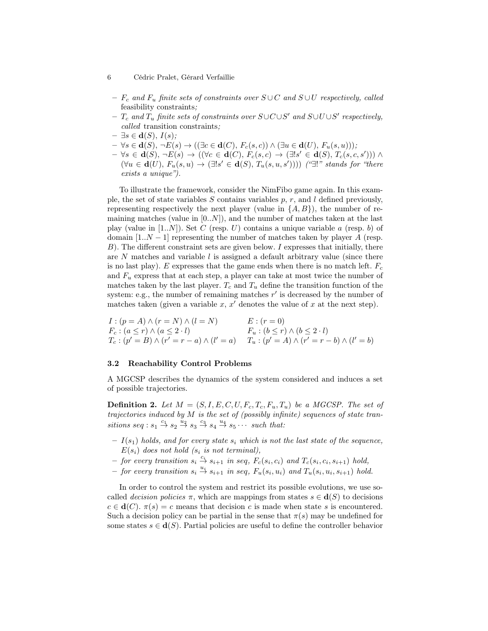#### 6 Cédric Pralet, Gérard Verfaillie

- $F_c$  and  $F_u$  finite sets of constraints over  $S \cup C$  and  $S \cup U$  respectively, called feasibility constraints;
- $T_c$  and  $T_u$  finite sets of constraints over  $S \cup C \cup S'$  and  $S \cup U \cup S'$  respectively, called transition constraints;
- $\exists s \in \mathbf{d}(S), I(s);$
- $-\forall s \in \mathbf{d}(S), \neg E(s) \rightarrow ((\exists c \in \mathbf{d}(C), F_c(s, c)) \wedge (\exists u \in \mathbf{d}(U), F_u(s, u)));$
- $\forall s \in \mathbf{d}(S), \neg E(s) \rightarrow ((\forall c \in \mathbf{d}(C), F_c(s, c) \rightarrow (\exists ! s' \in \mathbf{d}(S), T_c(s, c, s'))) \wedge$  $(\forall u \in \mathbf{d}(U), F_u(s, u) \to (\exists! s' \in \mathbf{d}(S), T_u(s, u, s')))$  (" $\exists!$ " stands for "there exists a unique").

To illustrate the framework, consider the NimFibo game again. In this example, the set of state variables S contains variables p, r, and l defined previously, representing respectively the next player (value in  $\{A, B\}$ ), the number of remaining matches (value in  $[0..N]$ ), and the number of matches taken at the last play (value in  $[1..N]$ ). Set C (resp. U) contains a unique variable a (resp. b) of domain  $[1..N-1]$  representing the number of matches taken by player A (resp. B). The different constraint sets are given below. I expresses that initially, there are  $N$  matches and variable  $l$  is assigned a default arbitrary value (since there is no last play). E expresses that the game ends when there is no match left.  $F_c$ and  $F_u$  express that at each step, a player can take at most twice the number of matches taken by the last player.  $T_c$  and  $T_u$  define the transition function of the system: e.g., the number of remaining matches  $r'$  is decreased by the number of matches taken (given a variable  $x, x'$  denotes the value of  $x$  at the next step).

 $I: (p = A) \wedge (r = N) \wedge (l = N)$   $E: (r = 0)$  $F_c : (a \leq r) \wedge (a \leq 2 \cdot l)$   $F_u : (b \leq r) \wedge (b \leq 2 \cdot l)$  $T_c : (p' = B) \wedge (r' = r - a) \wedge (l' = a)$   $T_u : (p' = A) \wedge (r' = r - b) \wedge (l' = b)$ 

### 3.2 Reachability Control Problems

A MGCSP describes the dynamics of the system considered and induces a set of possible trajectories.

**Definition 2.** Let  $M = (S, I, E, C, U, F_c, T_c, F_u, T_u)$  be a MGCSP. The set of trajectories induced by M is the set of (possibly infinite) sequences of state transitions  $seq : s_1 \stackrel{c_1}{\rightarrow} s_2 \stackrel{u_2}{\rightarrow} s_3 \stackrel{c_3}{\rightarrow} s_4 \stackrel{u_4}{\rightarrow} s_5 \cdots$  such that:

- $-I(s_1)$  holds, and for every state  $s_i$  which is not the last state of the sequence,  $E(s_i)$  does not hold  $(s_i$  is not terminal),
- $-$  for every transition  $s_i \stackrel{c_i}{\rightarrow} s_{i+1}$  in seq,  $F_c(s_i, c_i)$  and  $T_c(s_i, c_i, s_{i+1})$  hold,
- $-$  for every transition  $s_i \stackrel{u_i}{\rightarrow} s_{i+1}$  in seq,  $F_u(s_i, u_i)$  and  $T_u(s_i, u_i, s_{i+1})$  hold.

In order to control the system and restrict its possible evolutions, we use socalled *decision policies*  $\pi$ , which are mappings from states  $s \in d(S)$  to decisions  $c \in \mathbf{d}(C)$ .  $\pi(s) = c$  means that decision c is made when state s is encountered. Such a decision policy can be partial in the sense that  $\pi(s)$  may be undefined for some states  $s \in \mathbf{d}(S)$ . Partial policies are useful to define the controller behavior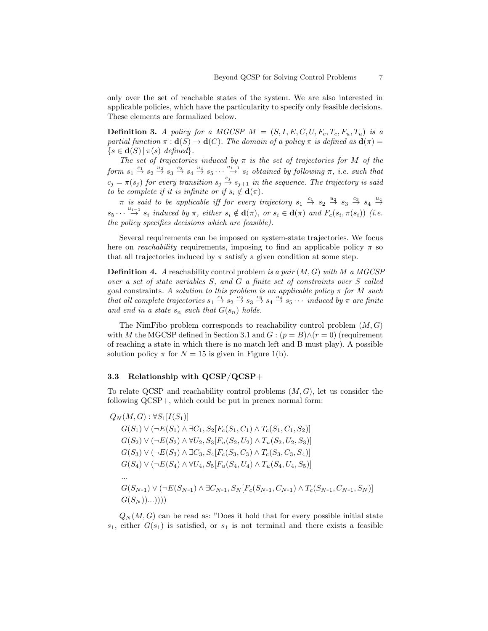only over the set of reachable states of the system. We are also interested in applicable policies, which have the particularity to specify only feasible decisions. These elements are formalized below.

**Definition 3.** A policy for a MGCSP  $M = (S, I, E, C, U, F_c, T_c, F_u, T_u)$  is a partial function  $\pi : \mathbf{d}(S) \to \mathbf{d}(C)$ . The domain of a policy  $\pi$  is defined as  $\mathbf{d}(\pi) =$  $\{s \in \mathbf{d}(S) | \pi(s) \text{ defined}\}.$ 

The set of trajectories induced by  $\pi$  is the set of trajectories for M of the form  $s_1 \stackrel{c_1}{\rightarrow} s_2 \stackrel{u_2}{\rightarrow} s_3 \stackrel{c_3}{\rightarrow} s_4 \stackrel{u_4}{\rightarrow} s_5 \cdots \stackrel{u_{i-1}}{\rightarrow} s_i$  obtained by following  $\pi$ , i.e. such that  $c_j = \pi(s_j)$  for every transition  $s_j \stackrel{c_j}{\rightarrow} s_{j+1}$  in the sequence. The trajectory is said to be complete if it is infinite or if  $s_i \notin \mathbf{d}(\pi)$ .

 $\pi$  is said to be applicable iff for every trajectory  $s_1 \stackrel{c_1}{\rightarrow} s_2 \stackrel{u_2}{\rightarrow} s_3 \stackrel{c_3}{\rightarrow} s_4 \stackrel{u_4}{\rightarrow}$  $s_5 \cdots \stackrel{u_{i-1}}{\rightarrow} s_i$  induced by  $\pi$ , either  $s_i \notin \mathbf{d}(\pi)$ , or  $s_i \in \mathbf{d}(\pi)$  and  $F_c(s_i, \pi(s_i))$  (i.e. the policy specifies decisions which are feasible).

Several requirements can be imposed on system-state trajectories. We focus here on reachability requirements, imposing to find an applicable policy  $\pi$  so that all trajectories induced by  $\pi$  satisfy a given condition at some step.

**Definition 4.** A reachability control problem is a pair  $(M, G)$  with M a MGCSP over a set of state variables S, and G a finite set of constraints over S called goal constraints. A solution to this problem is an applicable policy  $\pi$  for M such that all complete trajectories  $s_1 \stackrel{c_1}{\rightarrow} s_2 \stackrel{u_2}{\rightarrow} s_3 \stackrel{c_3}{\rightarrow} s_4 \stackrel{u_4}{\rightarrow} s_5 \cdots$  induced by  $\pi$  are finite and end in a state  $s_n$  such that  $G(s_n)$  holds.

The NimFibo problem corresponds to reachability control problem  $(M, G)$ with M the MGCSP defined in Section 3.1 and  $G : (p = B) \wedge (r = 0)$  (requirement of reaching a state in which there is no match left and B must play). A possible solution policy  $\pi$  for  $N = 15$  is given in Figure 1(b).

### 3.3 Relationship with QCSP/QCSP+

To relate QCSP and reachability control problems  $(M, G)$ , let us consider the following QCSP+, which could be put in prenex normal form:

$$
Q_N(M, G) : \forall S_1[I(S_1)]
$$
  
\n
$$
G(S_1) \lor (\neg E(S_1) \land \exists C_1, S_2[F_c(S_1, C_1) \land T_c(S_1, C_1, S_2)]
$$
  
\n
$$
G(S_2) \lor (\neg E(S_2) \land \forall U_2, S_3[F_u(S_2, U_2) \land T_u(S_2, U_2, S_3)]
$$
  
\n
$$
G(S_3) \lor (\neg E(S_3) \land \exists C_3, S_4[F_c(S_3, C_3) \land T_c(S_3, C_3, S_4)]
$$
  
\n
$$
G(S_4) \lor (\neg E(S_4) \land \forall U_4, S_5[F_u(S_4, U_4) \land T_u(S_4, U_4, S_5)]
$$
  
\n...  
\n
$$
G(S_{N-1}) \lor (\neg E(S_{N-1}) \land \exists C_{N-1}, S_N[F_c(S_{N-1}, C_{N-1}) \land T_c(S_{N-1}, C_{N-1}, S_N)]
$$
  
\n
$$
G(S_N))...))))
$$

 $Q_N(M, G)$  can be read as: "Does it hold that for every possible initial state  $s_1$ , either  $G(s_1)$  is satisfied, or  $s_1$  is not terminal and there exists a feasible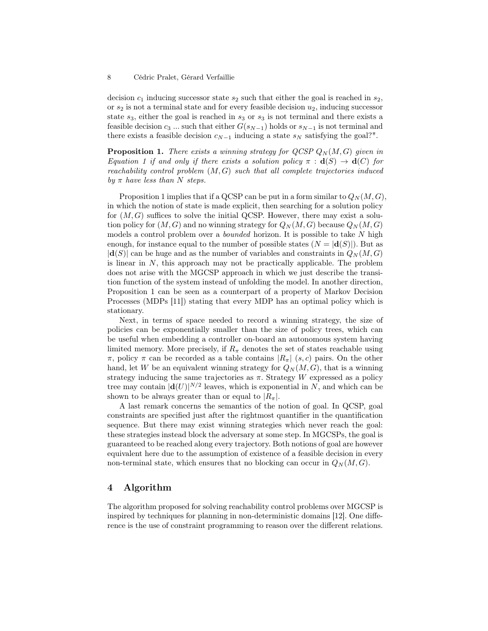#### 8 Cédric Pralet, Gérard Verfaillie

decision  $c_1$  inducing successor state  $s_2$  such that either the goal is reached in  $s_2$ , or  $s_2$  is not a terminal state and for every feasible decision  $u_2$ , inducing successor state  $s_3$ , either the goal is reached in  $s_3$  or  $s_3$  is not terminal and there exists a feasible decision  $c_3$  ... such that either  $G(s_{N-1})$  holds or  $s_{N-1}$  is not terminal and there exists a feasible decision  $c_{N-1}$  inducing a state  $s_N$  satisfying the goal?".

**Proposition 1.** There exists a winning strategy for QCSP  $Q_N(M, G)$  given in Equation 1 if and only if there exists a solution policy  $\pi : \mathbf{d}(S) \to \mathbf{d}(C)$  for reachability control problem  $(M, G)$  such that all complete trajectories induced by  $\pi$  have less than N steps.

Proposition 1 implies that if a QCSP can be put in a form similar to  $Q_N(M, G)$ , in which the notion of state is made explicit, then searching for a solution policy for  $(M, G)$  suffices to solve the initial QCSP. However, there may exist a solution policy for  $(M, G)$  and no winning strategy for  $Q_N(M, G)$  because  $Q_N(M, G)$ models a control problem over a *bounded* horizon. It is possible to take N high enough, for instance equal to the number of possible states  $(N = |d(S)|)$ . But as  $|\mathbf{d}(S)|$  can be huge and as the number of variables and constraints in  $Q_N(M, G)$ is linear in  $N$ , this approach may not be practically applicable. The problem does not arise with the MGCSP approach in which we just describe the transition function of the system instead of unfolding the model. In another direction, Proposition 1 can be seen as a counterpart of a property of Markov Decision Processes (MDPs [11]) stating that every MDP has an optimal policy which is stationary.

Next, in terms of space needed to record a winning strategy, the size of policies can be exponentially smaller than the size of policy trees, which can be useful when embedding a controller on-board an autonomous system having limited memory. More precisely, if  $R_{\pi}$  denotes the set of states reachable using π, policy π can be recorded as a table contains  $|R_π|$  (s, c) pairs. On the other hand, let W be an equivalent winning strategy for  $Q_N(M, G)$ , that is a winning strategy inducing the same trajectories as  $\pi$ . Strategy W expressed as a policy tree may contain  $|\mathbf{d}(U)|^{N/2}$  leaves, which is exponential in N, and which can be shown to be always greater than or equal to  $|R_{\pi}|$ .

A last remark concerns the semantics of the notion of goal. In QCSP, goal constraints are specified just after the rightmost quantifier in the quantification sequence. But there may exist winning strategies which never reach the goal: these strategies instead block the adversary at some step. In MGCSPs, the goal is guaranteed to be reached along every trajectory. Both notions of goal are however equivalent here due to the assumption of existence of a feasible decision in every non-terminal state, which ensures that no blocking can occur in  $Q_N(M, G)$ .

### 4 Algorithm

The algorithm proposed for solving reachability control problems over MGCSP is inspired by techniques for planning in non-deterministic domains [12]. One difference is the use of constraint programming to reason over the different relations.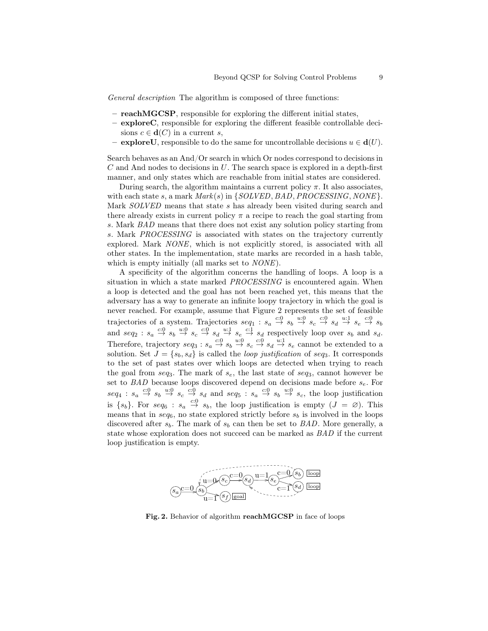General description The algorithm is composed of three functions:

- $-$  reachMGCSP, responsible for exploring the different initial states,
- exploreC, responsible for exploring the different feasible controllable decisions  $c \in \mathbf{d}(C)$  in a current s,
- **explore U**, responsible to do the same for uncontrollable decisions  $u \in d(U)$ .

Search behaves as an And/Or search in which Or nodes correspond to decisions in  $C$  and And nodes to decisions in  $U$ . The search space is explored in a depth-first manner, and only states which are reachable from initial states are considered.

During search, the algorithm maintains a current policy  $\pi$ . It also associates, with each state s, a mark  $Mark(s)$  in  ${SOLVED, BAD, PROCESSING, NONE}$ . Mark SOLVED means that state s has already been visited during search and there already exists in current policy  $\pi$  a recipe to reach the goal starting from s. Mark BAD means that there does not exist any solution policy starting from s. Mark PROCESSING is associated with states on the trajectory currently explored. Mark NONE, which is not explicitly stored, is associated with all other states. In the implementation, state marks are recorded in a hash table, which is empty initially (all marks set to *NONE*).

A specificity of the algorithm concerns the handling of loops. A loop is a situation in which a state marked *PROCESSING* is encountered again. When a loop is detected and the goal has not been reached yet, this means that the adversary has a way to generate an infinite loopy trajectory in which the goal is never reached. For example, assume that Figure 2 represents the set of feasible trajectories of a system. Trajectories  $seq_1 : s_a \stackrel{c:0}{\rightarrow} s_b \stackrel{u:0}{\rightarrow} s_c \stackrel{c:0}{\rightarrow} s_d \stackrel{u:1}{\rightarrow} s_e \stackrel{c:0}{\rightarrow} s_b$ and  $seq_2$ :  $s_a \stackrel{c:0}{\rightarrow} s_b \stackrel{u:0}{\rightarrow} s_c \stackrel{c:0}{\rightarrow} s_d \stackrel{u:1}{\rightarrow} s_e \stackrel{c:1}{\rightarrow} s_d$  respectively loop over  $s_b$  and  $s_d$ . Therefore, trajectory  $seq_3: s_a \stackrel{c:0}{\to} s_b \stackrel{w:0}{\to} s_c \stackrel{c:0}{\to} s_d \stackrel{u:1}{\to} s_e$  cannot be extended to a solution. Set  $J = \{s_b, s_d\}$  is called the *loop justification* of seq<sub>3</sub>. It corresponds to the set of past states over which loops are detected when trying to reach the goal from  $seq_3$ . The mark of  $s_e$ , the last state of  $seq_3$ , cannot however be set to  $BAD$  because loops discovered depend on decisions made before  $s_e$ . For  $seq_4: s_a \stackrel{c:0}{\rightarrow} s_b \stackrel{u:0}{\rightarrow} s_c \stackrel{c:0}{\rightarrow} s_d$  and  $seq_5: s_a \stackrel{c:0}{\rightarrow} s_b \stackrel{u:0}{\rightarrow} s_c$ , the loop justification is  $\{s_b\}$ . For  $seq_6: s_a \stackrel{c:0}{\rightarrow} s_b$ , the loop justification is empty  $(J = \emptyset)$ . This means that in  $seq_6$ , no state explored strictly before  $s_b$  is involved in the loops discovered after  $s_b$ . The mark of  $s_b$  can then be set to  $BAD$ . More generally, a state whose exploration does not succeed can be marked as BAD if the current loop justification is empty.



Fig. 2. Behavior of algorithm reachMGCSP in face of loops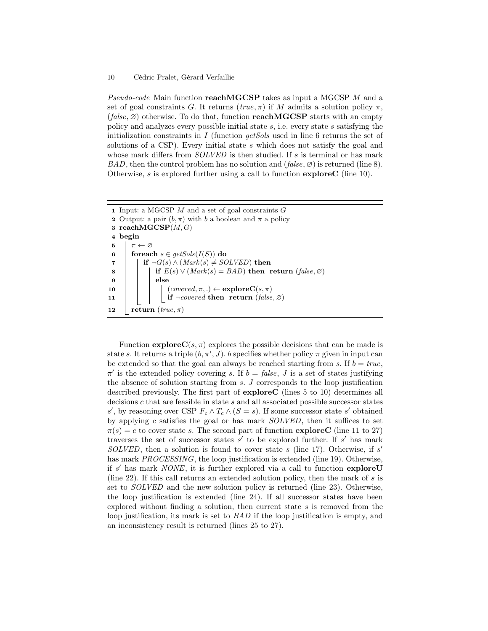#### 10 Cédric Pralet, Gérard Verfaillie

Pseudo-code Main function reachMGCSP takes as input a MGCSP M and a set of goal constraints G. It returns  $(true, \pi)$  if M admits a solution policy  $\pi$ ,  $(false, \varnothing)$  otherwise. To do that, function **reachMGCSP** starts with an empty policy and analyzes every possible initial state  $s$ , i.e. every state  $s$  satisfying the initialization constraints in  $I$  (function *getSols* used in line 6 returns the set of solutions of a CSP). Every initial state s which does not satisfy the goal and whose mark differs from *SOLVED* is then studied. If s is terminal or has mark BAD, then the control problem has no solution and  $(false, \varnothing)$  is returned (line 8). Otherwise, s is explored further using a call to function exploreC (line 10).

```
1 Input: a MGCSP M and a set of goal constraints G
 2 Output: a pair (b, \pi) with b a boolean and \pi a policy
 3 reachMGCSP(M, G)4 begin
 5 \pi \leftarrow \varnothing6 foreach s \in getSols(I(S)) do
 7 if \neg G(s) \land (Mark(s) \neq SOLVED) then
 8 if E(s) \vee (Mark(s) = BAD) then return (false, \varnothing)9 \mid \cdot \cdot \cdot \cdot else
10 (covered, π, .) ← exploreC(s, π)
11 | | if \neg covered then return (false, \varnothing)12 return (true, \pi)
```
Function  $exploreC(s, \pi)$  explores the possible decisions that can be made is state s. It returns a triple  $(b, \pi', J)$ . b specifies whether policy  $\pi$  given in input can be extended so that the goal can always be reached starting from s. If  $b = true$ ,  $\pi'$  is the extended policy covering s. If  $b = false$ , J is a set of states justifying the absence of solution starting from s. J corresponds to the loop justification described previously. The first part of exploreC (lines 5 to 10) determines all decisions c that are feasible in state s and all associated possible successor states s', by reasoning over CSP  $F_c \wedge T_c \wedge (S = s)$ . If some successor state s' obtained by applying  $c$  satisfies the goal or has mark  $SOLVED$ , then it suffices to set  $\pi(s) = c$  to cover state s. The second part of function **exploreC** (line 11 to 27) traverses the set of successor states  $s'$  to be explored further. If  $s'$  has mark  $SOLVED$ , then a solution is found to cover state s (line 17). Otherwise, if s' has mark *PROCESSING*, the loop justification is extended (line 19). Otherwise, if  $s'$  has mark NONE, it is further explored via a call to function  $exploreU$ (line 22). If this call returns an extended solution policy, then the mark of s is set to SOLVED and the new solution policy is returned (line 23). Otherwise, the loop justification is extended (line 24). If all successor states have been explored without finding a solution, then current state  $s$  is removed from the loop justification, its mark is set to BAD if the loop justification is empty, and an inconsistency result is returned (lines 25 to 27).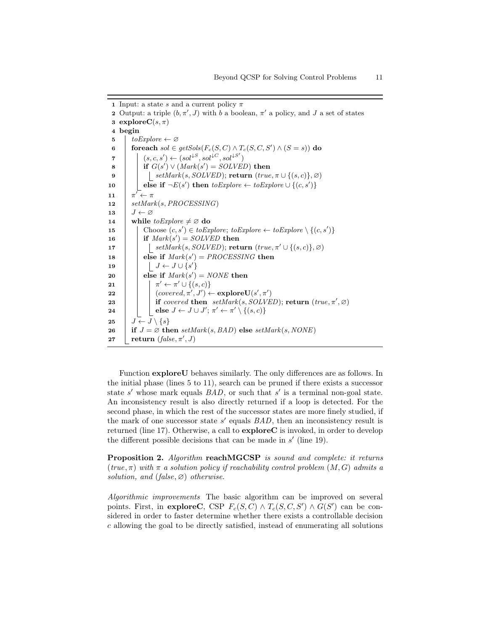```
1 Input: a state s and a current policy \pi2 Output: a triple (b, \pi', J) with b a boolean, \pi' a policy, and J a set of states
 3 explore C(s, \pi)4 begin
 5 to Explore \leftarrow \varnothing6 foreach sol \in getSols(F_c(S, C) \wedge T_c(S, C, S') \wedge (S = s)) do
  7 \Big| \Big| (s, c, s') \leftarrow (sol^{\downarrow S}, sol^{\downarrow C}, sol^{\downarrow S'})8 if G(s') \vee (Mark(s') = SOLVED) then
 9 | | setMark(s, SOLVED); return (true, \pi \cup \{(s, c)\}, \varnothing)10 else if \neg E(s') then to Explore ← to Explore \cup \{(c, s')\}1<sub>1</sub>
          \pi' \leftarrow \pi12 \vert setMark(s, PROCESSING)
13 J \leftarrow \varnothing14 while toExplore \neq \emptyset do
15 | Choose (c, s') \in toExplore; to Explore \leftarrow toExplore \setminus \{(c, s')\}16 if Mark(s') = SOLVED then
17 \vert \vert setMark(s, SOLVED); return (true, \pi' \cup \{(s, c)\}, \emptyset)
18 | else if Mark(s') = PROCESSING then
19 \vert \vert \vert J \leftarrow J \cup \{s'\}20 | else if Mark(s') = NONE then
21 \begin{array}{|c|c|c|}\n\hline\n& \pi' \leftarrow \pi' \cup \{(s, c)\}\n\end{array}\begin{array}{|c|c|}\hline \textbf{22} & & \end{array} \begin{array}{|c|c|}\hline \textbf{22} & & \end{array} \begin{array}{|c|c|}\hline \textbf{23} & & \textbf{0} \end{array} (covered, \pi', J') \leftarrow \textbf{exploreU}(s', \pi')23 if covered then setMark(s, SOLVED); return (true, \pi', \varnothing)24 else J \leftarrow J \cup J'; \, \pi' \leftarrow \pi' \setminus \{(s, c)\}25 J \leftarrow J \setminus \{s\}26 if J = \emptyset then setMark(s, BAD) else setMark(s, NONE)
27 return (false, \pi', J)
```
Function exploreU behaves similarly. The only differences are as follows. In the initial phase (lines 5 to 11), search can be pruned if there exists a successor state  $s'$  whose mark equals  $BAD$ , or such that  $s'$  is a terminal non-goal state. An inconsistency result is also directly returned if a loop is detected. For the second phase, in which the rest of the successor states are more finely studied, if the mark of one successor state  $s'$  equals  $BAD$ , then an inconsistency result is returned (line 17). Otherwise, a call to exploreC is invoked, in order to develop the different possible decisions that can be made in  $s'$  (line 19).

Proposition 2. Algorithm reachMGCSP is sound and complete: it returns (true,  $\pi$ ) with  $\pi$  a solution policy if reachability control problem  $(M, G)$  admits a solution, and (false,  $\varnothing$ ) otherwise.

Algorithmic improvements The basic algorithm can be improved on several points. First, in explore C, CSP  $F_c(S, C) \wedge T_c(S, C, S') \wedge G(S')$  can be considered in order to faster determine whether there exists a controllable decision c allowing the goal to be directly satisfied, instead of enumerating all solutions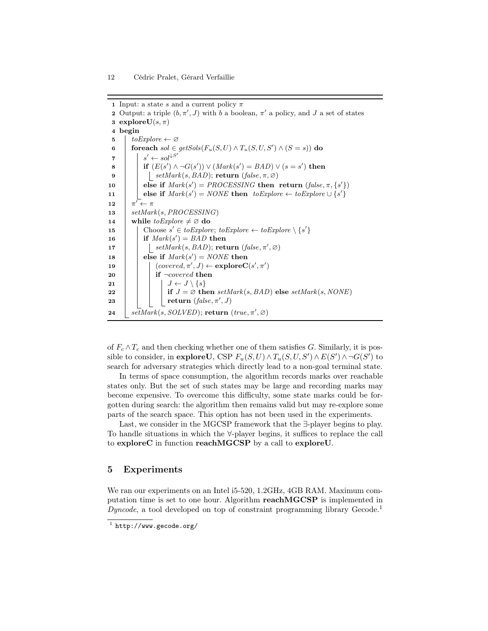1 Input: a state s and a current policy  $\pi$ 2 Output: a triple  $(b, \pi', J)$  with b a boolean,  $\pi'$  a policy, and J a set of states 3 explore  $U(s, \pi)$ 4 begin 5  $to Explore \leftarrow \varnothing$ 6 for each  $sol \in getSols(F_u(S, U) \wedge T_u(S, U, S') \wedge (S = s))$  do 7  $\vert \quad \vert \quad s' \leftarrow sol^{\downarrow S'}$ 8 if  $(E(s') \wedge \neg G(s')) \vee (Mark(s') = BAD) \vee (s = s')$  then 9 | |  $setMark(s, BAD)$ ; return  $(false, \pi, \varnothing)$ 10 | else if  $Mark(s') = PROCESSING$  then return  $(false, \pi, \{s'\})$ 11 | else if  $Mark(s') = NONE$  then  $toExplore \leftarrow toExplore \cup \{s'\}$  $12$  $\pi' \leftarrow \pi$ 13  $\qquad \qquad$  setMark(s, PROCESSING) 14 while  $toExplore \neq \emptyset$  do 15 | Choose  $s' \in toExplore$ ; to Explore  $\leftarrow$  to Explore  $\setminus \{s'\}$ 16 if  $Mark(s') = BAD$  then 17 | |  $setMark(s, BAD)$ ; return  $(false, \pi', \varnothing)$ 18 | else if  $Mark(s') = NONE$  then 19  $\Box$  (covered,  $\pi', J$ )  $\leftarrow$  explore  $\mathbf{C}(s', \pi')$ 20 if  $\lnot$  covered then 21  $\vert \vert \vert \vert J \leftarrow J \setminus \{s\}$ 22 if  $J = \emptyset$  then setMark(s, BAD) else setMark(s, NONE) 23 | | | | | | return  $(false, \pi', J)$ 24  $\Big|$  setMark(s, SOLVED); return (true,  $\pi', \varnothing$ )

of  $F_c \wedge T_c$  and then checking whether one of them satisfies G. Similarly, it is possible to consider, in explore U, CSP  $F_u(S, U) \wedge T_u(S, U, S') \wedge E(S') \wedge \neg G(S')$  to search for adversary strategies which directly lead to a non-goal terminal state.

In terms of space consumption, the algorithm records marks over reachable states only. But the set of such states may be large and recording marks may become expensive. To overcome this difficulty, some state marks could be forgotten during search: the algorithm then remains valid but may re-explore some parts of the search space. This option has not been used in the experiments.

Last, we consider in the MGCSP framework that the ∃-player begins to play. To handle situations in which the ∀-player begins, it suffices to replace the call to exploreC in function reachMGCSP by a call to exploreU.

# 5 Experiments

We ran our experiments on an Intel i5-520, 1.2GHz, 4GB RAM. Maximum computation time is set to one hour. Algorithm reachMGCSP is implemented in Dyncode, a tool developed on top of constraint programming library Gecode.<sup>1</sup>

 $<sup>1</sup>$  http://www.gecode.org/</sup>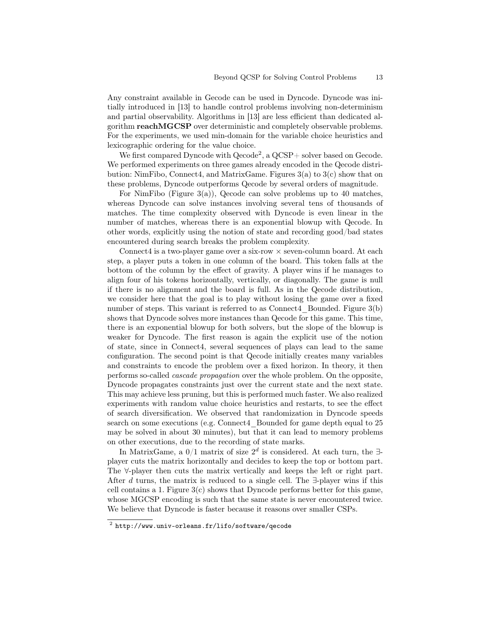Any constraint available in Gecode can be used in Dyncode. Dyncode was initially introduced in [13] to handle control problems involving non-determinism and partial observability. Algorithms in [13] are less efficient than dedicated algorithm reachMGCSP over deterministic and completely observable problems. For the experiments, we used min-domain for the variable choice heuristics and lexicographic ordering for the value choice.

We first compared Dyncode with Qecode<sup>2</sup>, a QCSP+ solver based on Gecode. We performed experiments on three games already encoded in the Qecode distribution: NimFibo, Connect4, and MatrixGame. Figures  $3(a)$  to  $3(c)$  show that on these problems, Dyncode outperforms Qecode by several orders of magnitude.

For NimFibo (Figure 3(a)), Qecode can solve problems up to 40 matches, whereas Dyncode can solve instances involving several tens of thousands of matches. The time complexity observed with Dyncode is even linear in the number of matches, whereas there is an exponential blowup with Qecode. In other words, explicitly using the notion of state and recording good/bad states encountered during search breaks the problem complexity.

Connect4 is a two-player game over a six-row  $\times$  seven-column board. At each step, a player puts a token in one column of the board. This token falls at the bottom of the column by the effect of gravity. A player wins if he manages to align four of his tokens horizontally, vertically, or diagonally. The game is null if there is no alignment and the board is full. As in the Qecode distribution, we consider here that the goal is to play without losing the game over a fixed number of steps. This variant is referred to as Connect4 Bounded. Figure 3(b) shows that Dyncode solves more instances than Qecode for this game. This time, there is an exponential blowup for both solvers, but the slope of the blowup is weaker for Dyncode. The first reason is again the explicit use of the notion of state, since in Connect4, several sequences of plays can lead to the same configuration. The second point is that Qecode initially creates many variables and constraints to encode the problem over a fixed horizon. In theory, it then performs so-called cascade propagation over the whole problem. On the opposite, Dyncode propagates constraints just over the current state and the next state. This may achieve less pruning, but this is performed much faster. We also realized experiments with random value choice heuristics and restarts, to see the effect of search diversification. We observed that randomization in Dyncode speeds search on some executions (e.g. Connect4\_Bounded for game depth equal to 25 may be solved in about 30 minutes), but that it can lead to memory problems on other executions, due to the recording of state marks.

In MatrixGame, a  $0/1$  matrix of size  $2^d$  is considered. At each turn, the  $\exists$ player cuts the matrix horizontally and decides to keep the top or bottom part. The ∀-player then cuts the matrix vertically and keeps the left or right part. After d turns, the matrix is reduced to a single cell. The  $\exists$ -player wins if this cell contains a 1. Figure  $3(c)$  shows that Dyncode performs better for this game, whose MGCSP encoding is such that the same state is never encountered twice. We believe that Dyncode is faster because it reasons over smaller CSPs.

 $^2$  http://www.univ-orleans.fr/lifo/software/qecode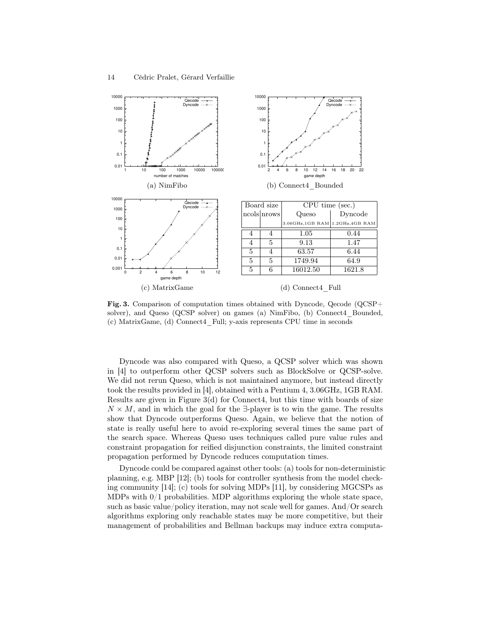

Fig. 3. Comparison of computation times obtained with Dyncode, Qecode (QCSP+ solver), and Queso (QCSP solver) on games (a) NimFibo, (b) Connect4\_Bounded, (c) MatrixGame, (d) Connect4\_Full; y-axis represents CPU time in seconds

Dyncode was also compared with Queso, a QCSP solver which was shown in [4] to outperform other QCSP solvers such as BlockSolve or QCSP-solve. We did not rerun Queso, which is not maintained anymore, but instead directly took the results provided in [4], obtained with a Pentium 4, 3.06GHz, 1GB RAM. Results are given in Figure 3(d) for Connect4, but this time with boards of size  $N \times M$ , and in which the goal for the  $\exists$ -player is to win the game. The results show that Dyncode outperforms Queso. Again, we believe that the notion of state is really useful here to avoid re-exploring several times the same part of the search space. Whereas Queso uses techniques called pure value rules and constraint propagation for reified disjunction constraints, the limited constraint propagation performed by Dyncode reduces computation times.

Dyncode could be compared against other tools: (a) tools for non-deterministic planning, e.g. MBP [12]; (b) tools for controller synthesis from the model checking community [14]; (c) tools for solving MDPs [11], by considering MGCSPs as MDPs with  $0/1$  probabilities. MDP algorithms exploring the whole state space, such as basic value/policy iteration, may not scale well for games. And/Or search algorithms exploring only reachable states may be more competitive, but their management of probabilities and Bellman backups may induce extra computa